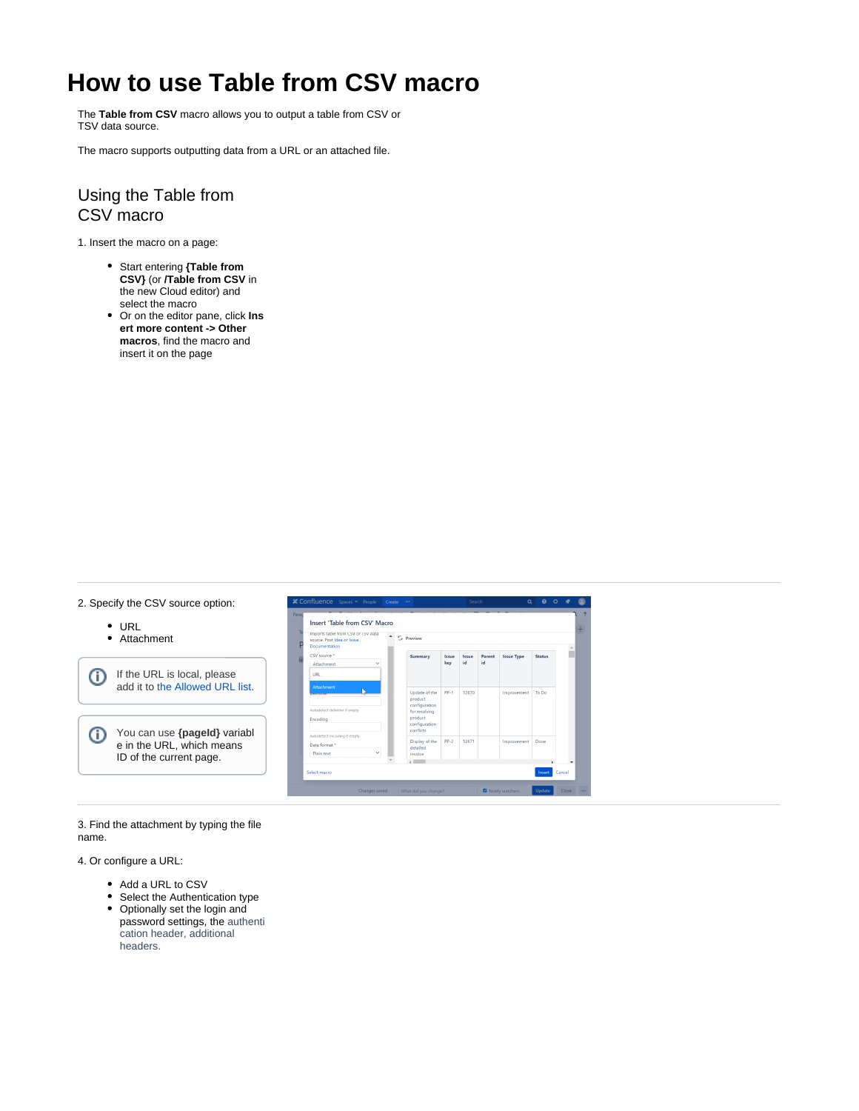## **How to use Table from CSV macro**

The **Table from CSV** macro allows you to output a table from CSV or TSV data source.

The macro supports outputting data from a URL or an attached file.

## Using the Table from CSV macro

1. Insert the macro on a page:

- Start entering **{Table from CSV}** (or **/Table from CSV** in the new Cloud editor) and select the macro
- Or on the editor pane, click **Ins ert more content -> Other macros**, find the macro and insert it on the page



3. Find the attachment by typing the file name.

4. Or configure a URL:

- Add a URL to CSV
- Select the Authentication type
- Optionally set the login and password settings, the authenti cation header, additional headers.

0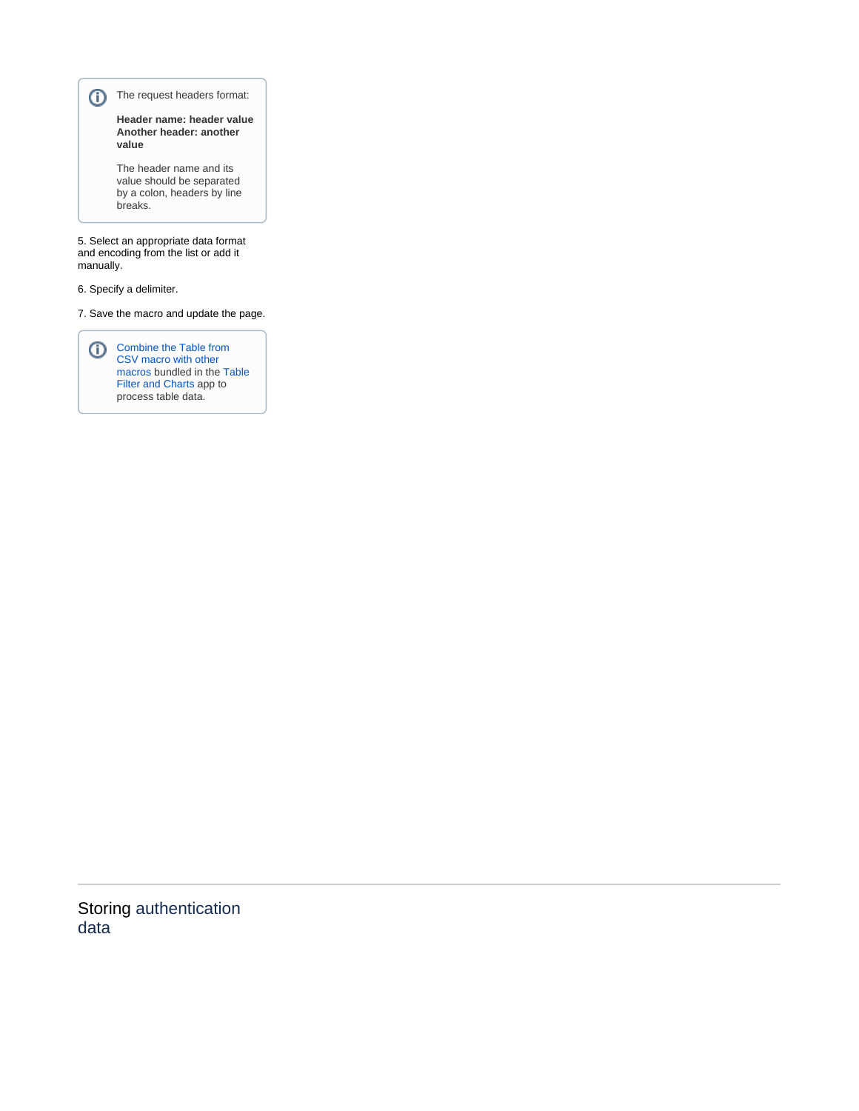The request headers format:

**Header name: header value Another header: another value**

The header name and its value should be separated by a colon, headers by line breaks.

5. Select an appropriate data format and encoding from the list or add it manually.

6. Specify a delimiter.

7. Save the macro and update the page.

Combine the Table from [CSV macro with other](https://docs.stiltsoft.com/display/TFAC/How+to+combine+the+macros)  [macros](https://docs.stiltsoft.com/display/TFAC/How+to+combine+the+macros) bundled in the [Table](https://docs.stiltsoft.com/pages/viewpage.action?pageId=42239760)  [Filter and Charts](https://docs.stiltsoft.com/pages/viewpage.action?pageId=42239760) app to process table data.

Storing authentication data